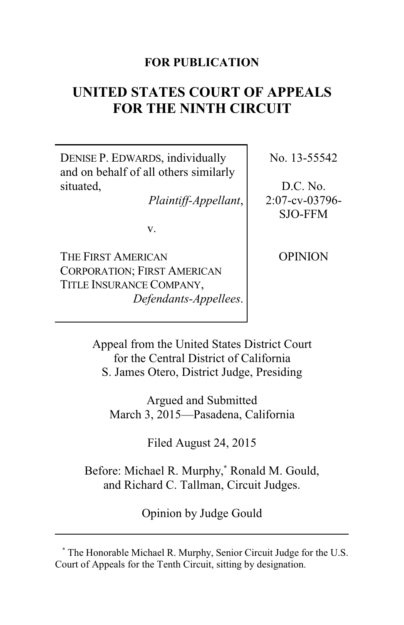# **FOR PUBLICATION**

# **UNITED STATES COURT OF APPEALS FOR THE NINTH CIRCUIT**

DENISE P. EDWARDS, individually and on behalf of all others similarly situated,

*Plaintiff-Appellant*,

No. 13-55542

D.C. No. 2:07-cv-03796- SJO-FFM

v.

THE FIRST AMERICAN CORPORATION; FIRST AMERICAN TITLE INSURANCE COMPANY, *Defendants-Appellees*. **OPINION** 

Appeal from the United States District Court for the Central District of California S. James Otero, District Judge, Presiding

Argued and Submitted March 3, 2015—Pasadena, California

Filed August 24, 2015

Before: Michael R. Murphy, **\*** Ronald M. Gould, and Richard C. Tallman, Circuit Judges.

Opinion by Judge Gould

**<sup>\*</sup>** The Honorable Michael R. Murphy, Senior Circuit Judge for the U.S. Court of Appeals for the Tenth Circuit, sitting by designation.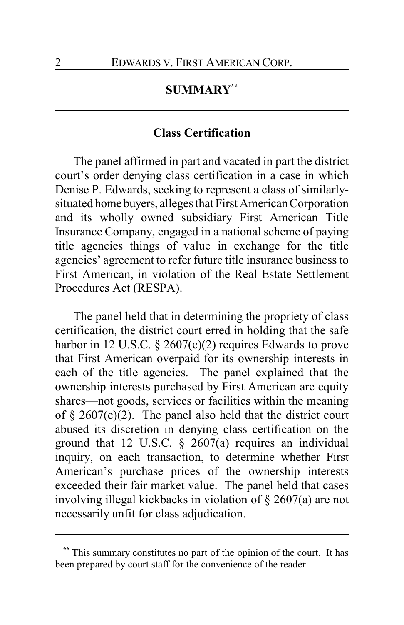# **SUMMARY\*\***

### **Class Certification**

The panel affirmed in part and vacated in part the district court's order denying class certification in a case in which Denise P. Edwards, seeking to represent a class of similarlysituated home buyers, alleges that First American Corporation and its wholly owned subsidiary First American Title Insurance Company, engaged in a national scheme of paying title agencies things of value in exchange for the title agencies' agreement to refer future title insurance business to First American, in violation of the Real Estate Settlement Procedures Act (RESPA).

The panel held that in determining the propriety of class certification, the district court erred in holding that the safe harbor in 12 U.S.C. § 2607(c)(2) requires Edwards to prove that First American overpaid for its ownership interests in each of the title agencies. The panel explained that the ownership interests purchased by First American are equity shares—not goods, services or facilities within the meaning of  $\S$  2607(c)(2). The panel also held that the district court abused its discretion in denying class certification on the ground that 12 U.S.C. § 2607(a) requires an individual inquiry, on each transaction, to determine whether First American's purchase prices of the ownership interests exceeded their fair market value. The panel held that cases involving illegal kickbacks in violation of § 2607(a) are not necessarily unfit for class adjudication.

This summary constitutes no part of the opinion of the court. It has been prepared by court staff for the convenience of the reader.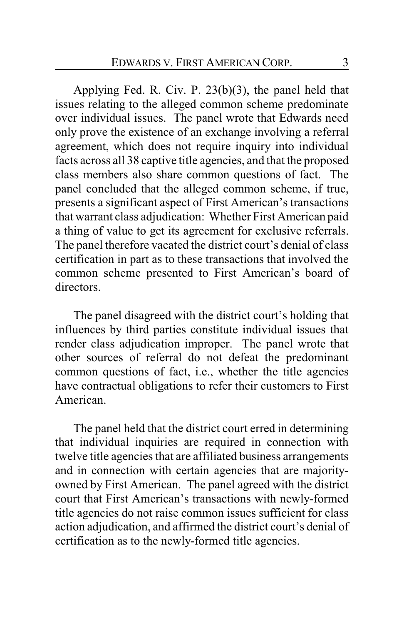Applying Fed. R. Civ. P. 23(b)(3), the panel held that issues relating to the alleged common scheme predominate over individual issues. The panel wrote that Edwards need only prove the existence of an exchange involving a referral agreement, which does not require inquiry into individual facts across all 38 captive title agencies, and that the proposed class members also share common questions of fact. The panel concluded that the alleged common scheme, if true, presents a significant aspect of First American's transactions that warrant class adjudication: Whether First American paid a thing of value to get its agreement for exclusive referrals. The panel therefore vacated the district court's denial of class certification in part as to these transactions that involved the common scheme presented to First American's board of directors.

The panel disagreed with the district court's holding that influences by third parties constitute individual issues that render class adjudication improper. The panel wrote that other sources of referral do not defeat the predominant common questions of fact, i.e., whether the title agencies have contractual obligations to refer their customers to First American.

The panel held that the district court erred in determining that individual inquiries are required in connection with twelve title agencies that are affiliated business arrangements and in connection with certain agencies that are majorityowned by First American. The panel agreed with the district court that First American's transactions with newly-formed title agencies do not raise common issues sufficient for class action adjudication, and affirmed the district court's denial of certification as to the newly-formed title agencies.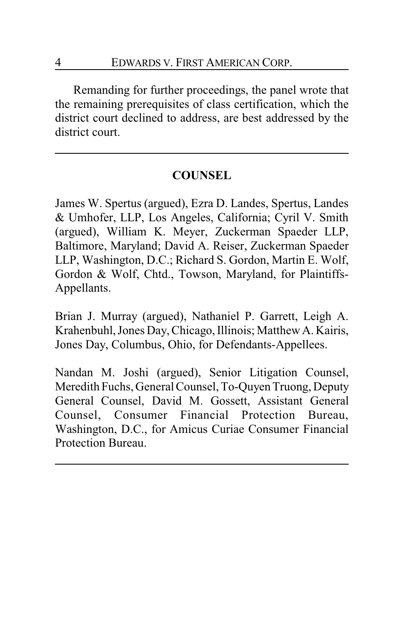Remanding for further proceedings, the panel wrote that the remaining prerequisites of class certification, which the district court declined to address, are best addressed by the district court.

# **COUNSEL**

James W. Spertus (argued), Ezra D. Landes, Spertus, Landes & Umhofer, LLP, Los Angeles, California; Cyril V. Smith (argued), William K. Meyer, Zuckerman Spaeder LLP, Baltimore, Maryland; David A. Reiser, Zuckerman Spaeder LLP, Washington, D.C.; Richard S. Gordon, Martin E. Wolf, Gordon & Wolf, Chtd., Towson, Maryland, for Plaintiffs-Appellants.

Brian J. Murray (argued), Nathaniel P. Garrett, Leigh A. Krahenbuhl, Jones Day, Chicago, Illinois; Matthew A. Kairis, Jones Day, Columbus, Ohio, for Defendants-Appellees.

Nandan M. Joshi (argued), Senior Litigation Counsel, Meredith Fuchs, General Counsel, To-Quyen Truong, Deputy General Counsel, David M. Gossett, Assistant General Counsel, Consumer Financial Protection Bureau, Washington, D.C., for Amicus Curiae Consumer Financial Protection Bureau.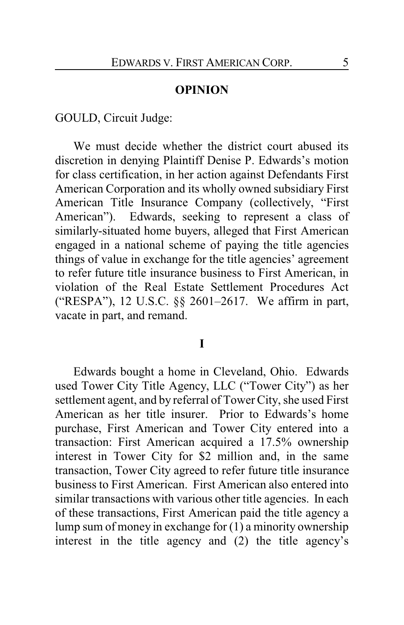#### **OPINION**

GOULD, Circuit Judge:

We must decide whether the district court abused its discretion in denying Plaintiff Denise P. Edwards's motion for class certification, in her action against Defendants First American Corporation and its wholly owned subsidiary First American Title Insurance Company (collectively, "First American"). Edwards, seeking to represent a class of similarly-situated home buyers, alleged that First American engaged in a national scheme of paying the title agencies things of value in exchange for the title agencies' agreement to refer future title insurance business to First American, in violation of the Real Estate Settlement Procedures Act ("RESPA"), 12 U.S.C. §§ 2601–2617. We affirm in part, vacate in part, and remand.

#### **I**

Edwards bought a home in Cleveland, Ohio. Edwards used Tower City Title Agency, LLC ("Tower City") as her settlement agent, and by referral of Tower City, she used First American as her title insurer. Prior to Edwards's home purchase, First American and Tower City entered into a transaction: First American acquired a 17.5% ownership interest in Tower City for \$2 million and, in the same transaction, Tower City agreed to refer future title insurance business to First American. First American also entered into similar transactions with various other title agencies. In each of these transactions, First American paid the title agency a lump sum of money in exchange for (1) a minority ownership interest in the title agency and (2) the title agency's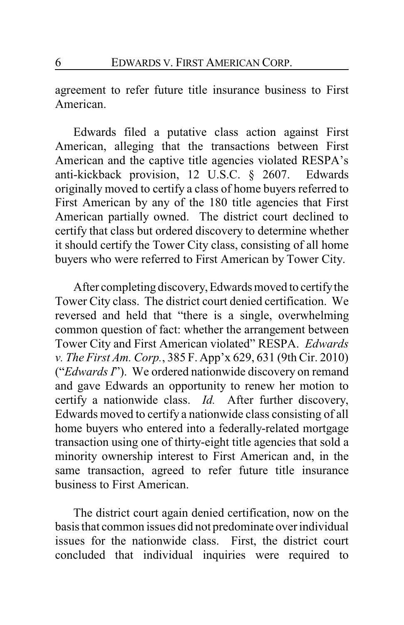agreement to refer future title insurance business to First American.

Edwards filed a putative class action against First American, alleging that the transactions between First American and the captive title agencies violated RESPA's anti-kickback provision, 12 U.S.C. § 2607. Edwards originally moved to certify a class of home buyers referred to First American by any of the 180 title agencies that First American partially owned. The district court declined to certify that class but ordered discovery to determine whether it should certify the Tower City class, consisting of all home buyers who were referred to First American by Tower City.

After completing discovery,Edwards moved to certifythe Tower City class. The district court denied certification. We reversed and held that "there is a single, overwhelming common question of fact: whether the arrangement between Tower City and First American violated" RESPA. *Edwards v. The First Am. Corp.*, 385 F. App'x 629, 631 (9th Cir. 2010) ("*Edwards I*"). We ordered nationwide discovery on remand and gave Edwards an opportunity to renew her motion to certify a nationwide class. *Id.* After further discovery, Edwards moved to certify a nationwide class consisting of all home buyers who entered into a federally-related mortgage transaction using one of thirty-eight title agencies that sold a minority ownership interest to First American and, in the same transaction, agreed to refer future title insurance business to First American.

The district court again denied certification, now on the basis that common issues did not predominate over individual issues for the nationwide class. First, the district court concluded that individual inquiries were required to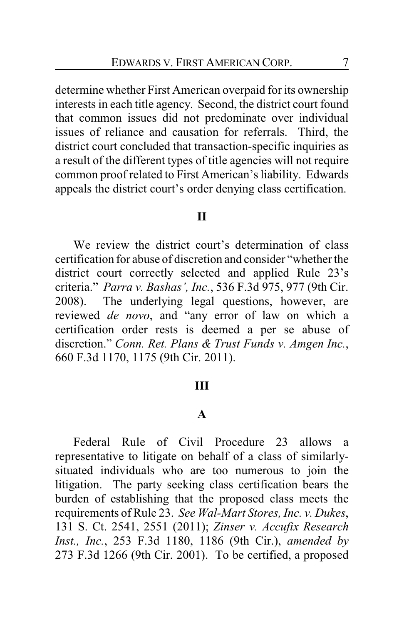determine whether First American overpaid for its ownership interests in each title agency. Second, the district court found that common issues did not predominate over individual issues of reliance and causation for referrals. Third, the district court concluded that transaction-specific inquiries as a result of the different types of title agencies will not require common proof related to First American's liability. Edwards appeals the district court's order denying class certification.

### **II**

We review the district court's determination of class certification for abuse of discretion and consider "whether the district court correctly selected and applied Rule 23's criteria." *Parra v. Bashas', Inc.*, 536 F.3d 975, 977 (9th Cir. 2008). The underlying legal questions, however, are reviewed *de novo*, and "any error of law on which a certification order rests is deemed a per se abuse of discretion." *Conn. Ret. Plans & Trust Funds v. Amgen Inc.*, 660 F.3d 1170, 1175 (9th Cir. 2011).

#### **III**

#### **A**

Federal Rule of Civil Procedure 23 allows a representative to litigate on behalf of a class of similarlysituated individuals who are too numerous to join the litigation. The party seeking class certification bears the burden of establishing that the proposed class meets the requirements of Rule 23. *See Wal-Mart Stores, Inc. v. Dukes*, 131 S. Ct. 2541, 2551 (2011); *Zinser v. Accufix Research Inst., Inc.*, 253 F.3d 1180, 1186 (9th Cir.), *amended by* 273 F.3d 1266 (9th Cir. 2001). To be certified, a proposed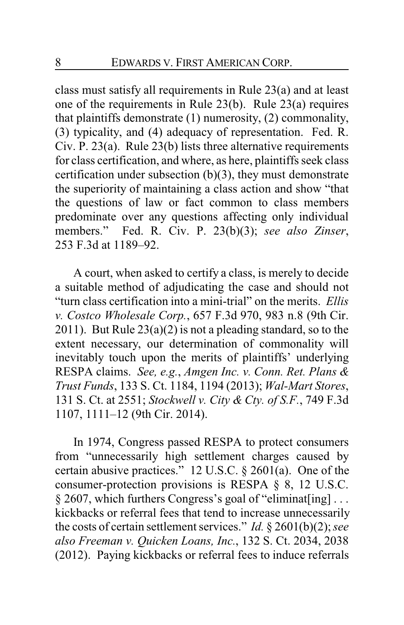class must satisfy all requirements in Rule 23(a) and at least one of the requirements in Rule 23(b). Rule 23(a) requires that plaintiffs demonstrate (1) numerosity, (2) commonality, (3) typicality, and (4) adequacy of representation. Fed. R. Civ. P. 23(a). Rule 23(b) lists three alternative requirements for class certification, and where, as here, plaintiffs seek class certification under subsection (b)(3), they must demonstrate the superiority of maintaining a class action and show "that the questions of law or fact common to class members predominate over any questions affecting only individual members." Fed. R. Civ. P. 23(b)(3); *see also Zinser*, 253 F.3d at 1189–92.

A court, when asked to certify a class, is merely to decide a suitable method of adjudicating the case and should not "turn class certification into a mini-trial" on the merits. *Ellis v. Costco Wholesale Corp.*, 657 F.3d 970, 983 n.8 (9th Cir. 2011). But Rule  $23(a)(2)$  is not a pleading standard, so to the extent necessary, our determination of commonality will inevitably touch upon the merits of plaintiffs' underlying RESPA claims. *See, e.g.*, *Amgen Inc. v. Conn. Ret. Plans & Trust Funds*, 133 S. Ct. 1184, 1194 (2013); *Wal-Mart Stores*, 131 S. Ct. at 2551; *Stockwell v. City & Cty. of S.F.*, 749 F.3d 1107, 1111–12 (9th Cir. 2014).

In 1974, Congress passed RESPA to protect consumers from "unnecessarily high settlement charges caused by certain abusive practices." 12 U.S.C. § 2601(a). One of the consumer-protection provisions is RESPA § 8, 12 U.S.C. § 2607, which furthers Congress's goal of "eliminat[ing] . . . kickbacks or referral fees that tend to increase unnecessarily the costs of certain settlement services." *Id.* § 2601(b)(2); *see also Freeman v. Quicken Loans, Inc.*, 132 S. Ct. 2034, 2038 (2012). Paying kickbacks or referral fees to induce referrals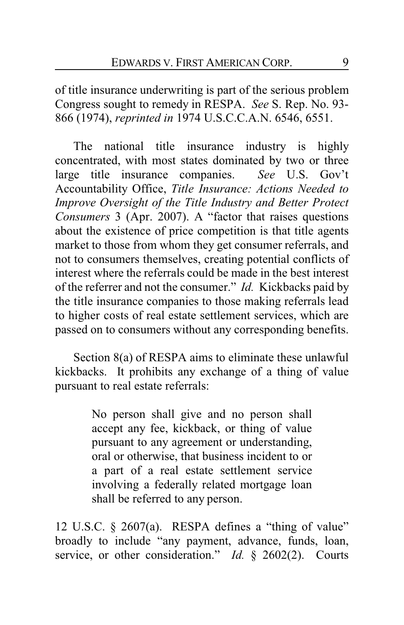of title insurance underwriting is part of the serious problem Congress sought to remedy in RESPA. *See* S. Rep. No. 93- 866 (1974), *reprinted in* 1974 U.S.C.C.A.N. 6546, 6551.

The national title insurance industry is highly concentrated, with most states dominated by two or three large title insurance companies. *See* U.S. Gov't Accountability Office, *Title Insurance: Actions Needed to Improve Oversight of the Title Industry and Better Protect Consumers* 3 (Apr. 2007). A "factor that raises questions about the existence of price competition is that title agents market to those from whom they get consumer referrals, and not to consumers themselves, creating potential conflicts of interest where the referrals could be made in the best interest of the referrer and not the consumer." *Id.* Kickbacks paid by the title insurance companies to those making referrals lead to higher costs of real estate settlement services, which are passed on to consumers without any corresponding benefits.

Section 8(a) of RESPA aims to eliminate these unlawful kickbacks. It prohibits any exchange of a thing of value pursuant to real estate referrals:

> No person shall give and no person shall accept any fee, kickback, or thing of value pursuant to any agreement or understanding, oral or otherwise, that business incident to or a part of a real estate settlement service involving a federally related mortgage loan shall be referred to any person.

12 U.S.C. § 2607(a). RESPA defines a "thing of value" broadly to include "any payment, advance, funds, loan, service, or other consideration." *Id.* § 2602(2). Courts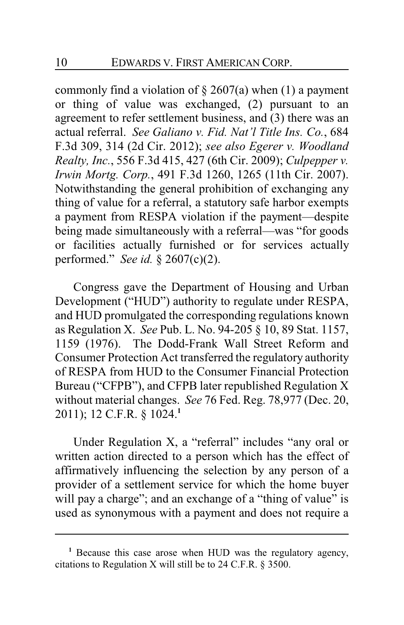commonly find a violation of  $\S 2607(a)$  when (1) a payment or thing of value was exchanged, (2) pursuant to an agreement to refer settlement business, and (3) there was an actual referral. *See Galiano v. Fid. Nat'l Title Ins. Co.*, 684 F.3d 309, 314 (2d Cir. 2012); *see also Egerer v. Woodland Realty, Inc.*, 556 F.3d 415, 427 (6th Cir. 2009); *Culpepper v. Irwin Mortg. Corp.*, 491 F.3d 1260, 1265 (11th Cir. 2007). Notwithstanding the general prohibition of exchanging any thing of value for a referral, a statutory safe harbor exempts a payment from RESPA violation if the payment—despite being made simultaneously with a referral—was "for goods or facilities actually furnished or for services actually performed." *See id.* § 2607(c)(2).

Congress gave the Department of Housing and Urban Development ("HUD") authority to regulate under RESPA, and HUD promulgated the corresponding regulations known as Regulation X. *See* Pub. L. No. 94-205 § 10, 89 Stat. 1157, 1159 (1976). The Dodd-Frank Wall Street Reform and Consumer Protection Act transferred the regulatory authority of RESPA from HUD to the Consumer Financial Protection Bureau ("CFPB"), and CFPB later republished Regulation X without material changes. *See* 76 Fed. Reg. 78,977 (Dec. 20, 2011); 12 C.F.R. § 1024.**<sup>1</sup>**

Under Regulation X, a "referral" includes "any oral or written action directed to a person which has the effect of affirmatively influencing the selection by any person of a provider of a settlement service for which the home buyer will pay a charge"; and an exchange of a "thing of value" is used as synonymous with a payment and does not require a

**<sup>1</sup>** Because this case arose when HUD was the regulatory agency, citations to Regulation X will still be to 24 C.F.R. § 3500.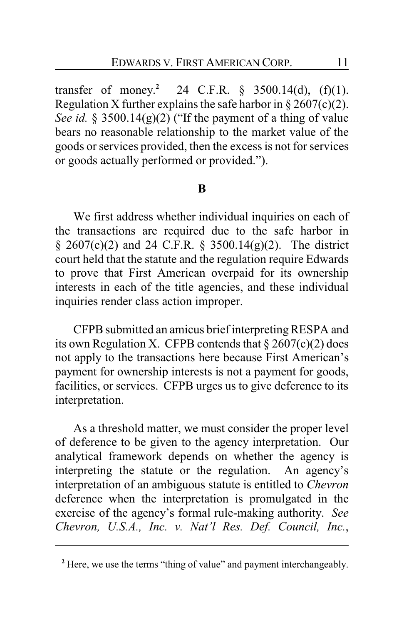transfer of money.<sup>2</sup> 24 C.F.R.  $\frac{6}{5}$  3500.14(d), (f)(1). Regulation X further explains the safe harbor in  $\S 2607(c)(2)$ . *See id.* § 3500.14(g)(2) ("If the payment of a thing of value bears no reasonable relationship to the market value of the goods or services provided, then the excess is not for services or goods actually performed or provided.").

### **B**

We first address whether individual inquiries on each of the transactions are required due to the safe harbor in § 2607(c)(2) and 24 C.F.R. § 3500.14(g)(2). The district court held that the statute and the regulation require Edwards to prove that First American overpaid for its ownership interests in each of the title agencies, and these individual inquiries render class action improper.

CFPB submitted an amicus brief interpretingRESPA and its own Regulation X. CFPB contends that  $\S 2607(c)(2)$  does not apply to the transactions here because First American's payment for ownership interests is not a payment for goods, facilities, or services. CFPB urges us to give deference to its interpretation.

As a threshold matter, we must consider the proper level of deference to be given to the agency interpretation. Our analytical framework depends on whether the agency is interpreting the statute or the regulation. An agency's interpretation of an ambiguous statute is entitled to *Chevron* deference when the interpretation is promulgated in the exercise of the agency's formal rule-making authority. *See Chevron, U.S.A., Inc. v. Nat'l Res. Def. Council, Inc.*,

**<sup>2</sup>** Here, we use the terms "thing of value" and payment interchangeably.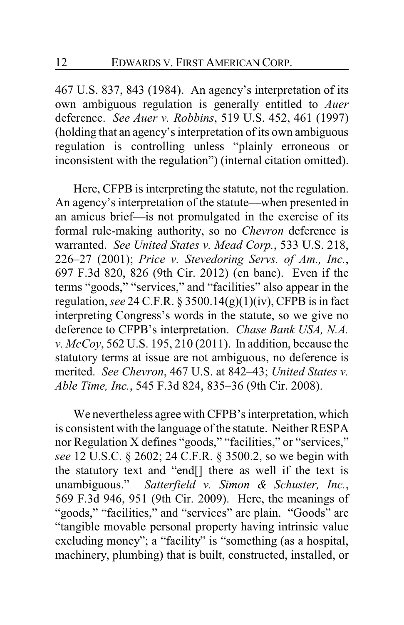467 U.S. 837, 843 (1984). An agency's interpretation of its own ambiguous regulation is generally entitled to *Auer* deference. *See Auer v. Robbins*, 519 U.S. 452, 461 (1997) (holding that an agency's interpretation of its own ambiguous regulation is controlling unless "plainly erroneous or inconsistent with the regulation") (internal citation omitted).

Here, CFPB is interpreting the statute, not the regulation. An agency's interpretation of the statute—when presented in an amicus brief—is not promulgated in the exercise of its formal rule-making authority, so no *Chevron* deference is warranted. *See United States v. Mead Corp.*, 533 U.S. 218, 226–27 (2001); *Price v. Stevedoring Servs. of Am., Inc.*, 697 F.3d 820, 826 (9th Cir. 2012) (en banc). Even if the terms "goods," "services," and "facilities" also appear in the regulation, *see* 24 C.F.R. § 3500.14(g)(1)(iv), CFPB is in fact interpreting Congress's words in the statute, so we give no deference to CFPB's interpretation. *Chase Bank USA, N.A. v. McCoy*, 562 U.S. 195, 210 (2011). In addition, because the statutory terms at issue are not ambiguous, no deference is merited. *See Chevron*, 467 U.S. at 842–43; *United States v. Able Time, Inc.*, 545 F.3d 824, 835–36 (9th Cir. 2008).

We nevertheless agree with CFPB's interpretation, which is consistent with the language of the statute. Neither RESPA nor Regulation X defines "goods," "facilities," or "services," *see* 12 U.S.C. § 2602; 24 C.F.R. § 3500.2, so we begin with the statutory text and "end[] there as well if the text is unambiguous." *Satterfield v. Simon & Schuster, Inc.*, 569 F.3d 946, 951 (9th Cir. 2009). Here, the meanings of "goods," "facilities," and "services" are plain. "Goods" are "tangible movable personal property having intrinsic value excluding money"; a "facility" is "something (as a hospital, machinery, plumbing) that is built, constructed, installed, or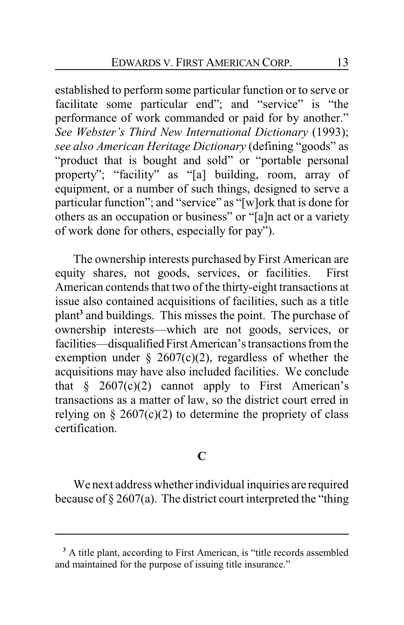established to perform some particular function or to serve or facilitate some particular end"; and "service" is "the performance of work commanded or paid for by another." *See Webster's Third New International Dictionary* (1993); *see also American Heritage Dictionary* (defining "goods" as "product that is bought and sold" or "portable personal property"; "facility" as "[a] building, room, array of equipment, or a number of such things, designed to serve a particular function"; and "service" as "[w]ork that is done for others as an occupation or business" or "[a]n act or a variety of work done for others, especially for pay").

The ownership interests purchased by First American are equity shares, not goods, services, or facilities. First American contends that two of the thirty-eight transactions at issue also contained acquisitions of facilities, such as a title plant**<sup>3</sup>** and buildings. This misses the point. The purchase of ownership interests—which are not goods, services, or facilities—disqualified First American's transactions from the exemption under  $\S$  2607(c)(2), regardless of whether the acquisitions may have also included facilities. We conclude that  $\frac{1}{2}$  2607(c)(2) cannot apply to First American's transactions as a matter of law, so the district court erred in relying on  $\S 2607(c)(2)$  to determine the propriety of class certification.

## **C**

We next address whether individual inquiries are required because of  $\S 2607(a)$ . The district court interpreted the "thing"

**<sup>3</sup>** A title plant, according to First American, is "title records assembled and maintained for the purpose of issuing title insurance."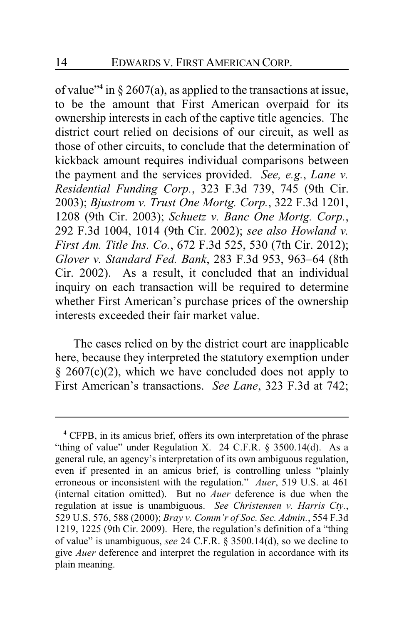of value"**<sup>4</sup>** in § 2607(a), as applied to the transactions at issue, to be the amount that First American overpaid for its ownership interests in each of the captive title agencies. The district court relied on decisions of our circuit, as well as those of other circuits, to conclude that the determination of kickback amount requires individual comparisons between the payment and the services provided. *See, e.g.*, *Lane v. Residential Funding Corp.*, 323 F.3d 739, 745 (9th Cir. 2003); *Bjustrom v. Trust One Mortg. Corp.*, 322 F.3d 1201, 1208 (9th Cir. 2003); *Schuetz v. Banc One Mortg. Corp.*, 292 F.3d 1004, 1014 (9th Cir. 2002); *see also Howland v. First Am. Title Ins. Co.*, 672 F.3d 525, 530 (7th Cir. 2012); *Glover v. Standard Fed. Bank*, 283 F.3d 953, 963–64 (8th Cir. 2002). As a result, it concluded that an individual inquiry on each transaction will be required to determine whether First American's purchase prices of the ownership interests exceeded their fair market value.

The cases relied on by the district court are inapplicable here, because they interpreted the statutory exemption under  $§$  2607(c)(2), which we have concluded does not apply to First American's transactions. *See Lane*, 323 F.3d at 742;

**<sup>4</sup>** CFPB, in its amicus brief, offers its own interpretation of the phrase "thing of value" under Regulation X. 24 C.F.R. § 3500.14(d). As a general rule, an agency's interpretation of its own ambiguous regulation, even if presented in an amicus brief, is controlling unless "plainly erroneous or inconsistent with the regulation." *Auer*, 519 U.S. at 461 (internal citation omitted). But no *Auer* deference is due when the regulation at issue is unambiguous. *See Christensen v. Harris Cty.*, 529 U.S. 576, 588 (2000); *Bray v. Comm'r of Soc. Sec. Admin.*, 554 F.3d 1219, 1225 (9th Cir. 2009). Here, the regulation's definition of a "thing of value" is unambiguous, *see* 24 C.F.R. § 3500.14(d), so we decline to give *Auer* deference and interpret the regulation in accordance with its plain meaning.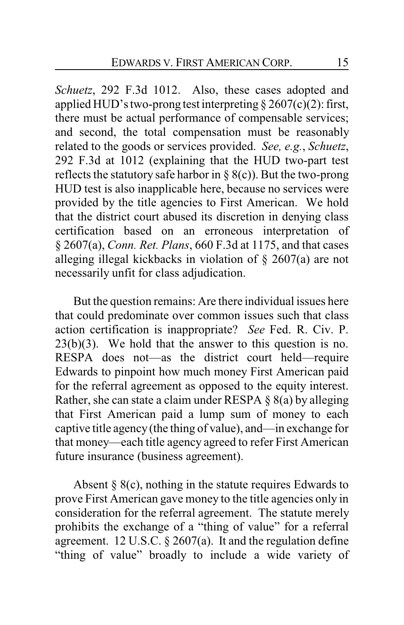*Schuetz*, 292 F.3d 1012. Also, these cases adopted and applied HUD's two-prong test interpreting  $\S 2607(c)(2)$ : first, there must be actual performance of compensable services; and second, the total compensation must be reasonably related to the goods or services provided. *See, e.g.*, *Schuetz*, 292 F.3d at 1012 (explaining that the HUD two-part test reflects the statutory safe harbor in  $\S$  8(c)). But the two-prong HUD test is also inapplicable here, because no services were provided by the title agencies to First American. We hold that the district court abused its discretion in denying class certification based on an erroneous interpretation of § 2607(a), *Conn. Ret. Plans*, 660 F.3d at 1175, and that cases alleging illegal kickbacks in violation of § 2607(a) are not necessarily unfit for class adjudication.

But the question remains: Are there individual issues here that could predominate over common issues such that class action certification is inappropriate? *See* Fed. R. Civ. P.  $23(b)(3)$ . We hold that the answer to this question is no. RESPA does not—as the district court held—require Edwards to pinpoint how much money First American paid for the referral agreement as opposed to the equity interest. Rather, she can state a claim under RESPA  $\S$  8(a) by alleging that First American paid a lump sum of money to each captive title agency(the thing of value), and—in exchange for that money—each title agency agreed to refer First American future insurance (business agreement).

Absent  $\S$  8(c), nothing in the statute requires Edwards to prove First American gave money to the title agencies only in consideration for the referral agreement. The statute merely prohibits the exchange of a "thing of value" for a referral agreement. 12 U.S.C. § 2607(a). It and the regulation define "thing of value" broadly to include a wide variety of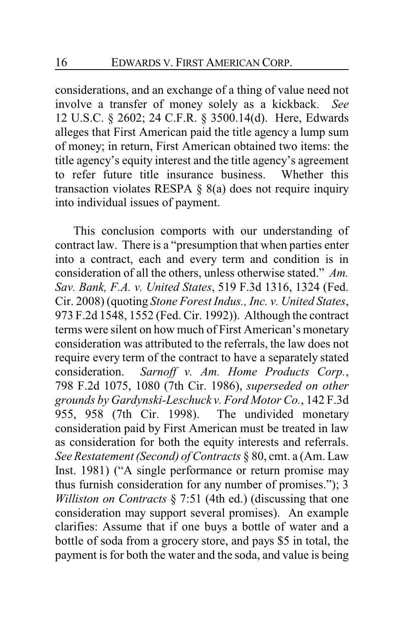considerations, and an exchange of a thing of value need not involve a transfer of money solely as a kickback. *See* 12 U.S.C. § 2602; 24 C.F.R. § 3500.14(d). Here, Edwards alleges that First American paid the title agency a lump sum of money; in return, First American obtained two items: the title agency's equity interest and the title agency's agreement to refer future title insurance business. Whether this transaction violates RESPA  $\S$  8(a) does not require inquiry into individual issues of payment.

This conclusion comports with our understanding of contract law. There is a "presumption that when parties enter into a contract, each and every term and condition is in consideration of all the others, unless otherwise stated." *Am. Sav. Bank, F.A. v. United States*, 519 F.3d 1316, 1324 (Fed. Cir. 2008) (quoting *Stone Forest Indus., Inc. v. United States*, 973 F.2d 1548, 1552 (Fed. Cir. 1992)). Although the contract terms were silent on how much of First American's monetary consideration was attributed to the referrals, the law does not require every term of the contract to have a separately stated consideration. *Sarnoff v. Am. Home Products Corp.*, 798 F.2d 1075, 1080 (7th Cir. 1986), *superseded on other grounds by Gardynski-Leschuck v. Ford Motor Co.*, 142 F.3d 955, 958 (7th Cir. 1998). The undivided monetary consideration paid by First American must be treated in law as consideration for both the equity interests and referrals. *See Restatement (Second) of Contracts* § 80, cmt. a (Am. Law Inst. 1981) ("A single performance or return promise may thus furnish consideration for any number of promises."); 3 *Williston on Contracts* § 7:51 (4th ed.) (discussing that one consideration may support several promises). An example clarifies: Assume that if one buys a bottle of water and a bottle of soda from a grocery store, and pays \$5 in total, the payment is for both the water and the soda, and value is being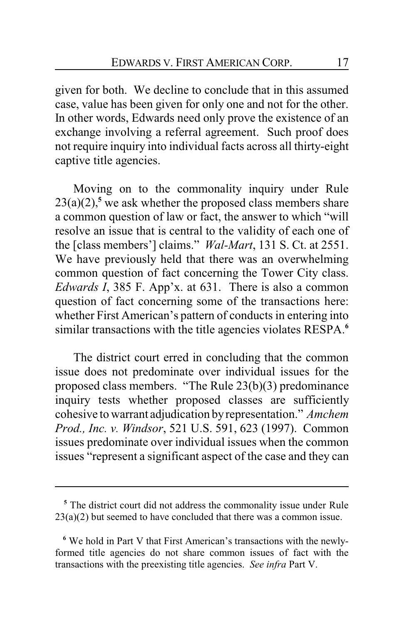given for both. We decline to conclude that in this assumed case, value has been given for only one and not for the other. In other words, Edwards need only prove the existence of an exchange involving a referral agreement. Such proof does not require inquiry into individual facts across all thirty-eight captive title agencies.

Moving on to the commonality inquiry under Rule  $23(a)(2)$ <sup>5</sup>, we ask whether the proposed class members share a common question of law or fact, the answer to which "will resolve an issue that is central to the validity of each one of the [class members'] claims." *Wal-Mart*, 131 S. Ct. at 2551. We have previously held that there was an overwhelming common question of fact concerning the Tower City class. *Edwards I*, 385 F. App'x. at 631. There is also a common question of fact concerning some of the transactions here: whether First American's pattern of conducts in entering into similar transactions with the title agencies violates RESPA.**<sup>6</sup>**

The district court erred in concluding that the common issue does not predominate over individual issues for the proposed class members. "The Rule 23(b)(3) predominance inquiry tests whether proposed classes are sufficiently cohesive to warrant adjudication byrepresentation." *Amchem Prod., Inc. v. Windsor*, 521 U.S. 591, 623 (1997). Common issues predominate over individual issues when the common issues "represent a significant aspect of the case and they can

**<sup>5</sup>** The district court did not address the commonality issue under Rule 23(a)(2) but seemed to have concluded that there was a common issue.

**<sup>6</sup>** We hold in Part V that First American's transactions with the newlyformed title agencies do not share common issues of fact with the transactions with the preexisting title agencies. *See infra* Part V.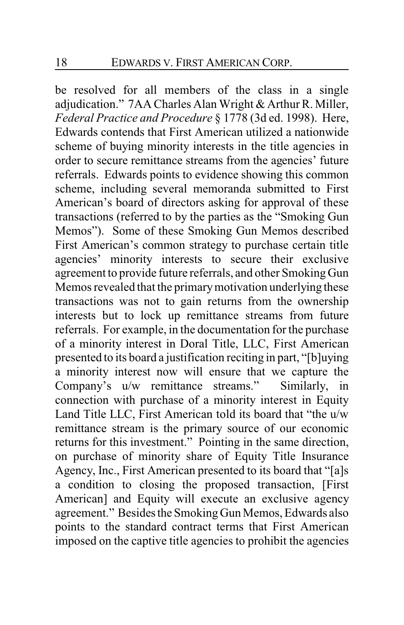be resolved for all members of the class in a single adjudication." 7AA Charles Alan Wright & Arthur R. Miller, *Federal Practice and Procedure* § 1778 (3d ed. 1998). Here, Edwards contends that First American utilized a nationwide scheme of buying minority interests in the title agencies in order to secure remittance streams from the agencies' future referrals. Edwards points to evidence showing this common scheme, including several memoranda submitted to First American's board of directors asking for approval of these transactions (referred to by the parties as the "Smoking Gun Memos"). Some of these Smoking Gun Memos described First American's common strategy to purchase certain title agencies' minority interests to secure their exclusive agreement to provide future referrals, and other Smoking Gun Memos revealed that the primarymotivation underlying these transactions was not to gain returns from the ownership interests but to lock up remittance streams from future referrals. For example, in the documentation for the purchase of a minority interest in Doral Title, LLC, First American presented to its board a justification reciting in part, "[b]uying a minority interest now will ensure that we capture the Company's u/w remittance streams." Similarly, in connection with purchase of a minority interest in Equity Land Title LLC, First American told its board that "the u/w remittance stream is the primary source of our economic returns for this investment." Pointing in the same direction, on purchase of minority share of Equity Title Insurance Agency, Inc., First American presented to its board that "[a]s a condition to closing the proposed transaction, [First American] and Equity will execute an exclusive agency agreement." Besides the Smoking Gun Memos, Edwards also points to the standard contract terms that First American imposed on the captive title agencies to prohibit the agencies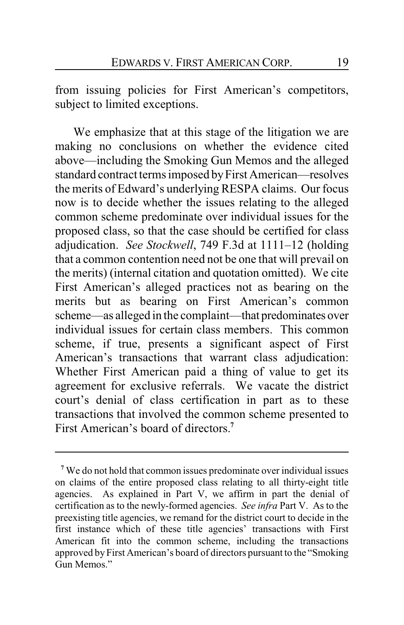from issuing policies for First American's competitors, subject to limited exceptions.

We emphasize that at this stage of the litigation we are making no conclusions on whether the evidence cited above—including the Smoking Gun Memos and the alleged standard contract terms imposed byFirst American—resolves the merits of Edward's underlying RESPA claims. Our focus now is to decide whether the issues relating to the alleged common scheme predominate over individual issues for the proposed class, so that the case should be certified for class adjudication. *See Stockwell*, 749 F.3d at 1111–12 (holding that a common contention need not be one that will prevail on the merits) (internal citation and quotation omitted). We cite First American's alleged practices not as bearing on the merits but as bearing on First American's common scheme—as alleged in the complaint—that predominates over individual issues for certain class members. This common scheme, if true, presents a significant aspect of First American's transactions that warrant class adjudication: Whether First American paid a thing of value to get its agreement for exclusive referrals. We vacate the district court's denial of class certification in part as to these transactions that involved the common scheme presented to First American's board of directors.**<sup>7</sup>**

**<sup>7</sup>** We do not hold that common issues predominate over individual issues on claims of the entire proposed class relating to all thirty-eight title agencies. As explained in Part V, we affirm in part the denial of certification as to the newly-formed agencies. *See infra* Part V. As to the preexisting title agencies, we remand for the district court to decide in the first instance which of these title agencies' transactions with First American fit into the common scheme, including the transactions approved by First American's board of directors pursuant to the "Smoking Gun Memos."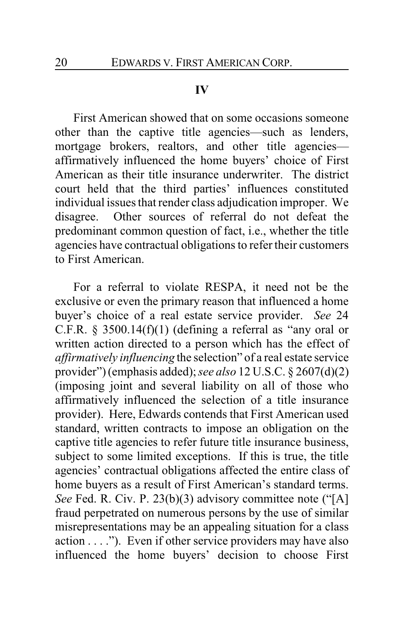#### **IV**

First American showed that on some occasions someone other than the captive title agencies—such as lenders, mortgage brokers, realtors, and other title agencies affirmatively influenced the home buyers' choice of First American as their title insurance underwriter. The district court held that the third parties' influences constituted individual issues that render class adjudication improper. We disagree. Other sources of referral do not defeat the predominant common question of fact, i.e., whether the title agencies have contractual obligations to refer their customers to First American.

For a referral to violate RESPA, it need not be the exclusive or even the primary reason that influenced a home buyer's choice of a real estate service provider. *See* 24 C.F.R.  $\S$  3500.14(f)(1) (defining a referral as "any oral or written action directed to a person which has the effect of *affirmatively influencing* the selection" of a real estate service provider") (emphasis added);*see also* 12 U.S.C. § 2607(d)(2) (imposing joint and several liability on all of those who affirmatively influenced the selection of a title insurance provider). Here, Edwards contends that First American used standard, written contracts to impose an obligation on the captive title agencies to refer future title insurance business, subject to some limited exceptions. If this is true, the title agencies' contractual obligations affected the entire class of home buyers as a result of First American's standard terms. *See* Fed. R. Civ. P. 23(b)(3) advisory committee note ("[A] fraud perpetrated on numerous persons by the use of similar misrepresentations may be an appealing situation for a class action . . . ."). Even if other service providers may have also influenced the home buyers' decision to choose First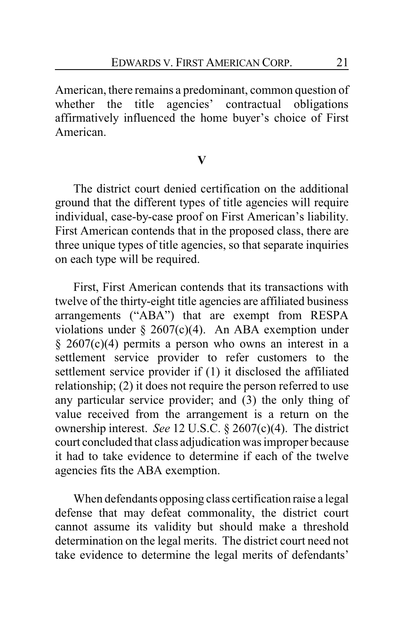American, there remains a predominant, common question of whether the title agencies' contractual obligations affirmatively influenced the home buyer's choice of First American.

### **V**

The district court denied certification on the additional ground that the different types of title agencies will require individual, case-by-case proof on First American's liability. First American contends that in the proposed class, there are three unique types of title agencies, so that separate inquiries on each type will be required.

First, First American contends that its transactions with twelve of the thirty-eight title agencies are affiliated business arrangements ("ABA") that are exempt from RESPA violations under  $\S 2607(c)(4)$ . An ABA exemption under § 2607(c)(4) permits a person who owns an interest in a settlement service provider to refer customers to the settlement service provider if (1) it disclosed the affiliated relationship; (2) it does not require the person referred to use any particular service provider; and (3) the only thing of value received from the arrangement is a return on the ownership interest. *See* 12 U.S.C. § 2607(c)(4). The district court concluded that class adjudication was improper because it had to take evidence to determine if each of the twelve agencies fits the ABA exemption.

When defendants opposing class certification raise a legal defense that may defeat commonality, the district court cannot assume its validity but should make a threshold determination on the legal merits. The district court need not take evidence to determine the legal merits of defendants'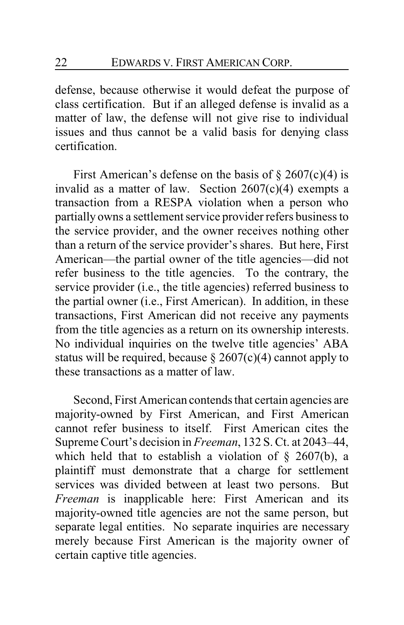defense, because otherwise it would defeat the purpose of class certification. But if an alleged defense is invalid as a matter of law, the defense will not give rise to individual issues and thus cannot be a valid basis for denying class certification.

First American's defense on the basis of  $\S 2607(c)(4)$  is invalid as a matter of law. Section 2607(c)(4) exempts a transaction from a RESPA violation when a person who partially owns a settlement service provider refers business to the service provider, and the owner receives nothing other than a return of the service provider's shares. But here, First American—the partial owner of the title agencies—did not refer business to the title agencies. To the contrary, the service provider (i.e., the title agencies) referred business to the partial owner (i.e., First American). In addition, in these transactions, First American did not receive any payments from the title agencies as a return on its ownership interests. No individual inquiries on the twelve title agencies' ABA status will be required, because  $\S 2607(c)(4)$  cannot apply to these transactions as a matter of law.

Second, First American contends that certain agencies are majority-owned by First American, and First American cannot refer business to itself. First American cites the Supreme Court's decision in *Freeman*, 132 S. Ct. at 2043–44, which held that to establish a violation of  $\S$  2607(b), a plaintiff must demonstrate that a charge for settlement services was divided between at least two persons. But *Freeman* is inapplicable here: First American and its majority-owned title agencies are not the same person, but separate legal entities. No separate inquiries are necessary merely because First American is the majority owner of certain captive title agencies.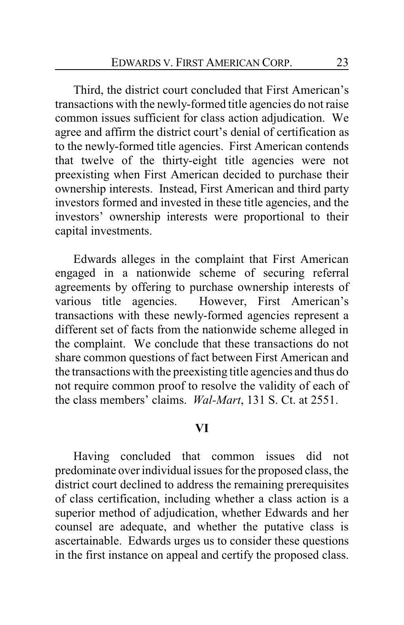Third, the district court concluded that First American's transactions with the newly-formed title agencies do not raise common issues sufficient for class action adjudication. We agree and affirm the district court's denial of certification as to the newly-formed title agencies. First American contends that twelve of the thirty-eight title agencies were not preexisting when First American decided to purchase their ownership interests. Instead, First American and third party investors formed and invested in these title agencies, and the investors' ownership interests were proportional to their capital investments.

Edwards alleges in the complaint that First American engaged in a nationwide scheme of securing referral agreements by offering to purchase ownership interests of various title agencies. However, First American's transactions with these newly-formed agencies represent a different set of facts from the nationwide scheme alleged in the complaint. We conclude that these transactions do not share common questions of fact between First American and the transactions with the preexisting title agencies and thus do not require common proof to resolve the validity of each of the class members' claims. *Wal-Mart*, 131 S. Ct. at 2551.

#### **VI**

Having concluded that common issues did not predominate over individual issues for the proposed class, the district court declined to address the remaining prerequisites of class certification, including whether a class action is a superior method of adjudication, whether Edwards and her counsel are adequate, and whether the putative class is ascertainable. Edwards urges us to consider these questions in the first instance on appeal and certify the proposed class.